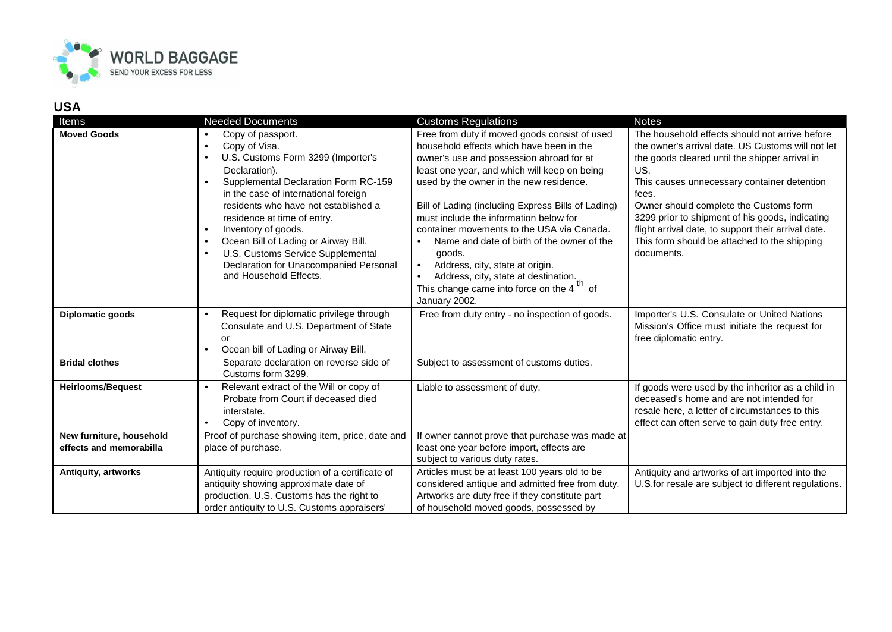

| Items                    | <b>Needed Documents</b>                              | <b>Customs Regulations</b>                            | <b>Notes</b>                                          |
|--------------------------|------------------------------------------------------|-------------------------------------------------------|-------------------------------------------------------|
| <b>Moved Goods</b>       | Copy of passport.<br>$\bullet$                       | Free from duty if moved goods consist of used         | The household effects should not arrive before        |
|                          | Copy of Visa.<br>$\bullet$                           | household effects which have been in the              | the owner's arrival date. US Customs will not let     |
|                          | U.S. Customs Form 3299 (Importer's<br>$\bullet$      | owner's use and possession abroad for at              | the goods cleared until the shipper arrival in        |
|                          | Declaration).                                        | least one year, and which will keep on being          | US.                                                   |
|                          | Supplemental Declaration Form RC-159<br>$\bullet$    | used by the owner in the new residence.               | This causes unnecessary container detention           |
|                          | in the case of international foreign                 |                                                       | fees.                                                 |
|                          | residents who have not established a                 | Bill of Lading (including Express Bills of Lading)    | Owner should complete the Customs form                |
|                          | residence at time of entry.                          | must include the information below for                | 3299 prior to shipment of his goods, indicating       |
|                          | Inventory of goods.<br>$\bullet$                     | container movements to the USA via Canada.            | flight arrival date, to support their arrival date.   |
|                          | Ocean Bill of Lading or Airway Bill.<br>$\bullet$    | Name and date of birth of the owner of the            | This form should be attached to the shipping          |
|                          | U.S. Customs Service Supplemental<br>$\bullet$       | goods.                                                | documents.                                            |
|                          | Declaration for Unaccompanied Personal               | Address, city, state at origin.<br>$\bullet$          |                                                       |
|                          | and Household Effects.                               | Address, city, state at destination.<br>$\bullet$     |                                                       |
|                          |                                                      | This change came into force on the 4 <sup>th</sup> of |                                                       |
|                          |                                                      | January 2002.                                         |                                                       |
| Diplomatic goods         | Request for diplomatic privilege through             | Free from duty entry - no inspection of goods.        | Importer's U.S. Consulate or United Nations           |
|                          | Consulate and U.S. Department of State               |                                                       | Mission's Office must initiate the request for        |
|                          | or                                                   |                                                       | free diplomatic entry.                                |
|                          | Ocean bill of Lading or Airway Bill.                 |                                                       |                                                       |
| <b>Bridal clothes</b>    | Separate declaration on reverse side of              | Subject to assessment of customs duties.              |                                                       |
|                          | Customs form 3299.                                   |                                                       |                                                       |
| <b>Heirlooms/Bequest</b> | Relevant extract of the Will or copy of<br>$\bullet$ | Liable to assessment of duty.                         | If goods were used by the inheritor as a child in     |
|                          | Probate from Court if deceased died                  |                                                       | deceased's home and are not intended for              |
|                          | interstate.                                          |                                                       | resale here, a letter of circumstances to this        |
|                          | Copy of inventory.                                   |                                                       | effect can often serve to gain duty free entry.       |
| New furniture, household | Proof of purchase showing item, price, date and      | If owner cannot prove that purchase was made at       |                                                       |
| effects and memorabilla  | place of purchase.                                   | least one year before import, effects are             |                                                       |
|                          |                                                      | subject to various duty rates.                        |                                                       |
| Antiquity, artworks      | Antiquity require production of a certificate of     | Articles must be at least 100 years old to be         | Antiquity and artworks of art imported into the       |
|                          | antiquity showing approximate date of                | considered antique and admitted free from duty.       | U.S. for resale are subject to different regulations. |
|                          | production. U.S. Customs has the right to            | Artworks are duty free if they constitute part        |                                                       |
|                          | order antiquity to U.S. Customs appraisers'          | of household moved goods, possessed by                |                                                       |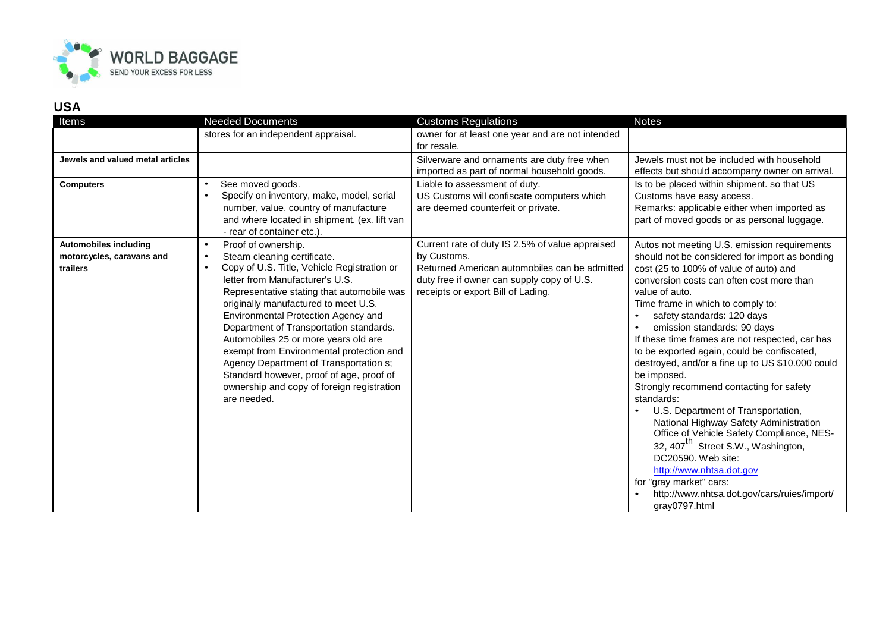

| Items                                                                 | <b>Needed Documents</b>                                                                                                                                                                                                                                                                                                                                                                                                                                                                                                                                                                    | <b>Customs Regulations</b>                                                                                                                                                                          | <b>Notes</b>                                                                                                                                                                                                                                                                                                                                                                                                                                                                                                                                                                                                                                                                                                                                                                                                                                                         |
|-----------------------------------------------------------------------|--------------------------------------------------------------------------------------------------------------------------------------------------------------------------------------------------------------------------------------------------------------------------------------------------------------------------------------------------------------------------------------------------------------------------------------------------------------------------------------------------------------------------------------------------------------------------------------------|-----------------------------------------------------------------------------------------------------------------------------------------------------------------------------------------------------|----------------------------------------------------------------------------------------------------------------------------------------------------------------------------------------------------------------------------------------------------------------------------------------------------------------------------------------------------------------------------------------------------------------------------------------------------------------------------------------------------------------------------------------------------------------------------------------------------------------------------------------------------------------------------------------------------------------------------------------------------------------------------------------------------------------------------------------------------------------------|
|                                                                       | stores for an independent appraisal.                                                                                                                                                                                                                                                                                                                                                                                                                                                                                                                                                       | owner for at least one year and are not intended<br>for resale.                                                                                                                                     |                                                                                                                                                                                                                                                                                                                                                                                                                                                                                                                                                                                                                                                                                                                                                                                                                                                                      |
| Jewels and valued metal articles                                      |                                                                                                                                                                                                                                                                                                                                                                                                                                                                                                                                                                                            | Silverware and ornaments are duty free when<br>imported as part of normal household goods.                                                                                                          | Jewels must not be included with household<br>effects but should accompany owner on arrival.                                                                                                                                                                                                                                                                                                                                                                                                                                                                                                                                                                                                                                                                                                                                                                         |
| <b>Computers</b>                                                      | See moved goods.<br>$\bullet$<br>Specify on inventory, make, model, serial<br>$\bullet$<br>number, value, country of manufacture<br>and where located in shipment. (ex. lift van<br>- rear of container etc.).                                                                                                                                                                                                                                                                                                                                                                             | Liable to assessment of duty.<br>US Customs will confiscate computers which<br>are deemed counterfeit or private.                                                                                   | Is to be placed within shipment. so that US<br>Customs have easy access.<br>Remarks: applicable either when imported as<br>part of moved goods or as personal luggage.                                                                                                                                                                                                                                                                                                                                                                                                                                                                                                                                                                                                                                                                                               |
| <b>Automobiles including</b><br>motorcycles, caravans and<br>trailers | Proof of ownership.<br>$\bullet$<br>Steam cleaning certificate.<br>$\bullet$<br>Copy of U.S. Title, Vehicle Registration or<br>$\bullet$<br>letter from Manufacturer's U.S.<br>Representative stating that automobile was<br>originally manufactured to meet U.S.<br>Environmental Protection Agency and<br>Department of Transportation standards.<br>Automobiles 25 or more years old are<br>exempt from Environmental protection and<br>Agency Department of Transportation s;<br>Standard however, proof of age, proof of<br>ownership and copy of foreign registration<br>are needed. | Current rate of duty IS 2.5% of value appraised<br>by Customs.<br>Returned American automobiles can be admitted<br>duty free if owner can supply copy of U.S.<br>receipts or export Bill of Lading. | Autos not meeting U.S. emission requirements<br>should not be considered for import as bonding<br>cost (25 to 100% of value of auto) and<br>conversion costs can often cost more than<br>value of auto.<br>Time frame in which to comply to:<br>safety standards: 120 days<br>emission standards: 90 days<br>If these time frames are not respected, car has<br>to be exported again, could be confiscated,<br>destroyed, and/or a fine up to US \$10.000 could<br>be imposed.<br>Strongly recommend contacting for safety<br>standards:<br>U.S. Department of Transportation,<br>National Highway Safety Administration<br>Office of Vehicle Safety Compliance, NES-<br>32, 407 <sup>th</sup> Street S.W., Washington,<br>DC20590. Web site:<br>http://www.nhtsa.dot.gov<br>for "gray market" cars:<br>http://www.nhtsa.dot.gov/cars/ruies/import/<br>gray0797.html |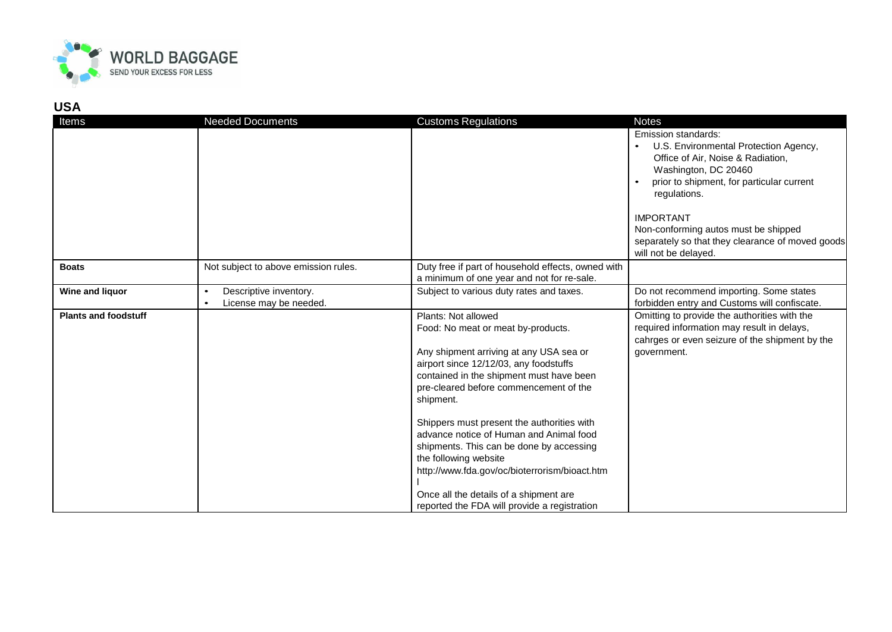

| Items                       | <b>Needed Documents</b>                                                    | <b>Customs Regulations</b>                                                                                                                                                                                                                                                                                                                                                                                                                                                                                                                                 | <b>Notes</b>                                                                                                                                                                                                                                                                                                                   |
|-----------------------------|----------------------------------------------------------------------------|------------------------------------------------------------------------------------------------------------------------------------------------------------------------------------------------------------------------------------------------------------------------------------------------------------------------------------------------------------------------------------------------------------------------------------------------------------------------------------------------------------------------------------------------------------|--------------------------------------------------------------------------------------------------------------------------------------------------------------------------------------------------------------------------------------------------------------------------------------------------------------------------------|
|                             |                                                                            |                                                                                                                                                                                                                                                                                                                                                                                                                                                                                                                                                            | Emission standards:<br>U.S. Environmental Protection Agency,<br>Office of Air, Noise & Radiation,<br>Washington, DC 20460<br>prior to shipment, for particular current<br>regulations.<br><b>IMPORTANT</b><br>Non-conforming autos must be shipped<br>separately so that they clearance of moved goods<br>will not be delayed. |
| <b>Boats</b>                | Not subject to above emission rules.                                       | Duty free if part of household effects, owned with<br>a minimum of one year and not for re-sale.                                                                                                                                                                                                                                                                                                                                                                                                                                                           |                                                                                                                                                                                                                                                                                                                                |
| Wine and liquor             | Descriptive inventory.<br>$\bullet$<br>License may be needed.<br>$\bullet$ | Subject to various duty rates and taxes.                                                                                                                                                                                                                                                                                                                                                                                                                                                                                                                   | Do not recommend importing. Some states<br>forbidden entry and Customs will confiscate.                                                                                                                                                                                                                                        |
| <b>Plants and foodstuff</b> |                                                                            | Plants: Not allowed<br>Food: No meat or meat by-products.<br>Any shipment arriving at any USA sea or<br>airport since 12/12/03, any foodstuffs<br>contained in the shipment must have been<br>pre-cleared before commencement of the<br>shipment.<br>Shippers must present the authorities with<br>advance notice of Human and Animal food<br>shipments. This can be done by accessing<br>the following website<br>http://www.fda.gov/oc/bioterrorism/bioact.htm<br>Once all the details of a shipment are<br>reported the FDA will provide a registration | Omitting to provide the authorities with the<br>required information may result in delays,<br>cahrges or even seizure of the shipment by the<br>government.                                                                                                                                                                    |